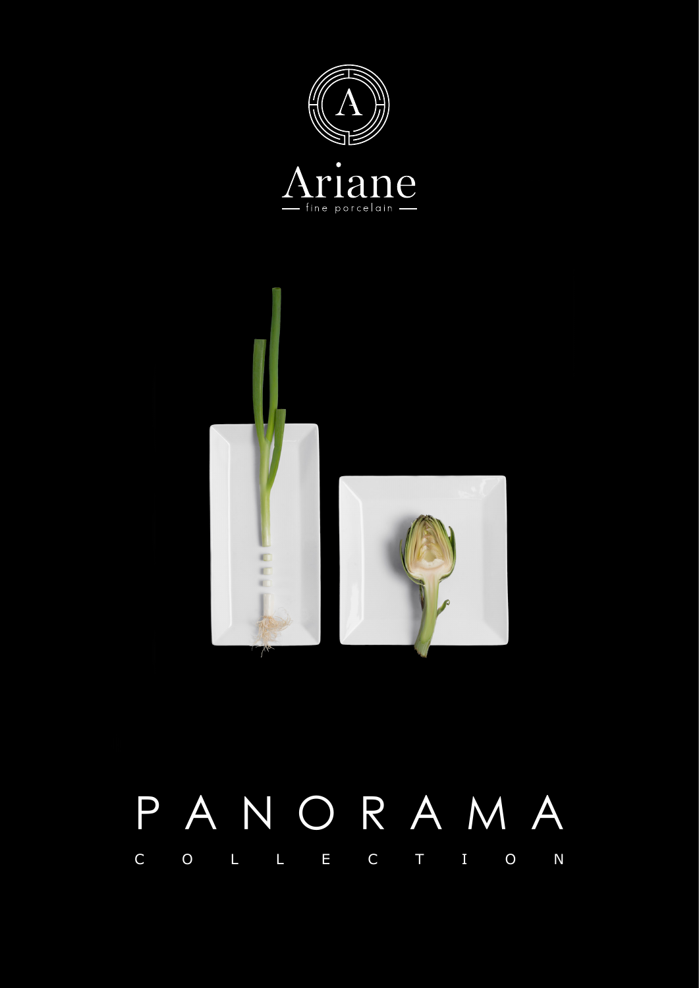



## PANORAMA COLLECTION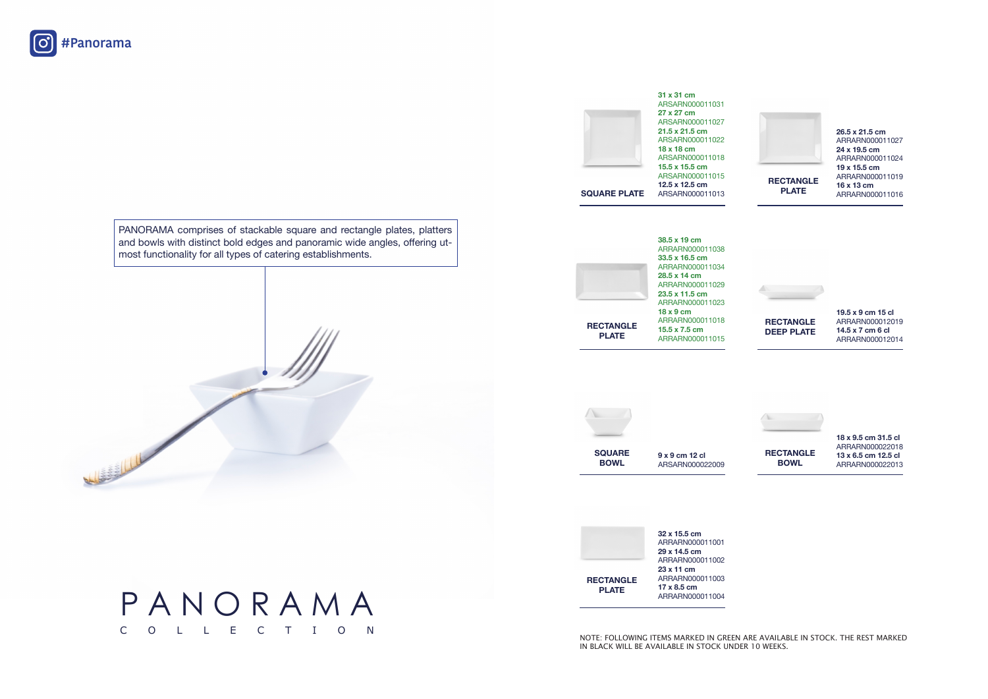PANORAMA comprises of stackable square and rectangle plates, platters and bowls with distinct bold edges and panoramic wide angles, offering utmost functionality for all types of catering establishments.

PANORAMA COLLECTION **SQUARE BOWL**

**RECTANGLE PLATE**

**RECTANGLE BOWL**

**RECTANGLE PLATE**

**RECTANGLE PLATE**

**RECTANGLE DEEP PLATE**

**SQUARE PLATE 31 x 31 cm** ARSARN000011031 **27 x 27 cm** ARSARN000011027 **21.5 x 21.5 cm** ARSARN000011022 **18 x 18 cm** ARSARN000011018 **15.5 x 15.5 cm** ARSARN000011015 **12.5 x 12.5 cm** ARSARN000011013

> **38.5 x 19 cm** ARRARN000011038 **33.5 x 16.5 cm** ARRARN000011034 **28.5 x 14 cm** ARRARN000011029 **23.5 x 11.5 cm** ARRARN000011023 **18 x 9 cm** ARRARN000011018 **15.5 x 7.5 cm** ARRARN000011015



**26.5 x 21.5 cm** ARRARN000011027 **24 x 19.5 cm** ARRARN000011024 **19 x 15.5 cm** ARRARN000011019 **16 x 13 cm** ARRARN000011016



**19.5 x 9 cm 15 cl** ARRARN000012019 **14.5 x 7 cm 6 cl** ARRARN000012014



**18 x 9.5 cm 31.5 cl** ARRARN000022018 **13 x 6.5 cm 12.5 cl** ARRARN000022013

**9 x 9 cm 12 cl** ARSARN000022009

**32 x 15.5 cm** ARRARN000011001 **29 x 14.5 cm** ARRARN000011002 **23 x 11 cm** ARRARN000011003 **17 x 8.5 cm** ARRARN000011004

NOTE: FOLLOWING ITEMS MARKED IN GREEN ARE AVAILABLE IN STOCK. THE REST MARKED IN BLACK WILL BE AVAILABLE IN STOCK UNDER 10 WEEKS.